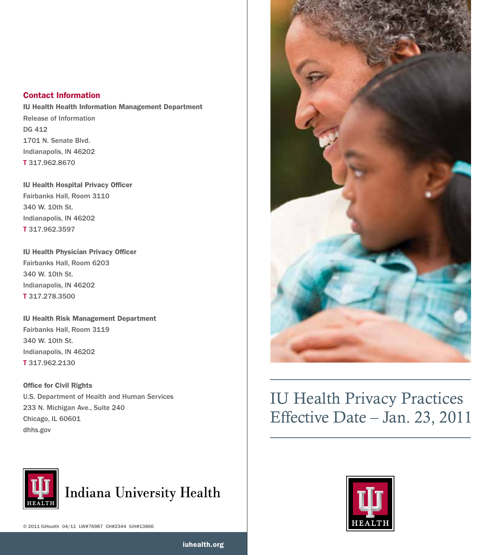# Contact Information

IU Health Health Information Management Department Release of Information DG 412 1701 N. Senate Blvd. Indianapolis, IN 46202 T 317.962.8670

IU Health Hospital Privacy Officer Fairbanks Hall, Room 3110 340 W. 10th St. Indianapolis, IN 46202 T 317.962.3597

IU Health Physician Privacy Officer Fairbanks Hall, Room 6203 340 W. 10th St. Indianapolis, IN 46202 T 317.278.3500

IU Health Risk Management Department Fairbanks Hall, Room 3119 340 W. 10th St. Indianapolis, IN 46202 T 317.962.2130

Office for Civil Rights U.S. Department of Health and Human Services 233 N. Michigan Ave., Suite 240 Chicago, IL 60601 dhhs.gov



iuhealth.org



# IU Health Privacy Practices Effective Date – Jan. 23, 2011

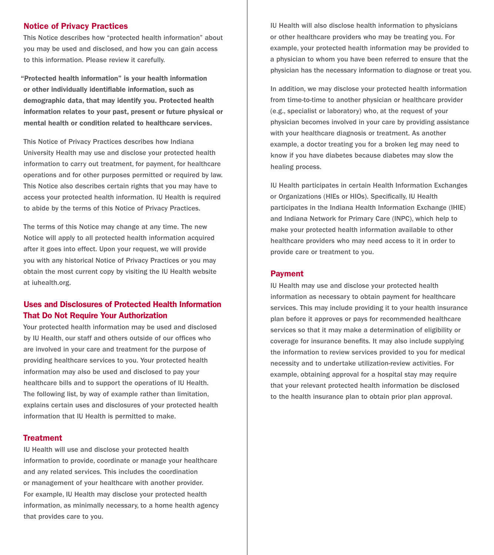#### Notice of Privacy Practices

This Notice describes how "protected health information" about you may be used and disclosed, and how you can gain access to this information. Please review it carefully.

"Protected health information" is your health information or other individually identifiable information, such as demographic data, that may identify you. Protected health information relates to your past, present or future physical or mental health or condition related to healthcare services.

This Notice of Privacy Practices describes how Indiana University Health may use and disclose your protected health information to carry out treatment, for payment, for healthcare operations and for other purposes permitted or required by law. This Notice also describes certain rights that you may have to access your protected health information. IU Health is required to abide by the terms of this Notice of Privacy Practices.

The terms of this Notice may change at any time. The new Notice will apply to all protected health information acquired after it goes into effect. Upon your request, we will provide you with any historical Notice of Privacy Practices or you may obtain the most current copy by visiting the IU Health website at iuhealth.org.

# Uses and Disclosures of Protected Health Information That Do Not Require Your Authorization

Your protected health information may be used and disclosed by IU Health, our staff and others outside of our offices who are involved in your care and treatment for the purpose of providing healthcare services to you. Your protected health information may also be used and disclosed to pay your healthcare bills and to support the operations of IU Health. The following list, by way of example rather than limitation, explains certain uses and disclosures of your protected health information that IU Health is permitted to make.

# **Treatment**

IU Health will use and disclose your protected health information to provide, coordinate or manage your healthcare and any related services. This includes the coordination or management of your healthcare with another provider. For example, IU Health may disclose your protected health information, as minimally necessary, to a home health agency that provides care to you.

IU Health will also disclose health information to physicians or other healthcare providers who may be treating you. For example, your protected health information may be provided to a physician to whom you have been referred to ensure that the physician has the necessary information to diagnose or treat you.

In addition, we may disclose your protected health information from time-to-time to another physician or healthcare provider (e.g., specialist or laboratory) who, at the request of your physician becomes involved in your care by providing assistance with your healthcare diagnosis or treatment. As another example, a doctor treating you for a broken leg may need to know if you have diabetes because diabetes may slow the healing process.

IU Health participates in certain Health Information Exchanges or Organizations (HIEs or HIOs). Specifically, IU Health participates in the Indiana Health Information Exchange (IHIE) and Indiana Network for Primary Care (INPC), which help to make your protected health information available to other healthcare providers who may need access to it in order to provide care or treatment to you.

## Payment

IU Health may use and disclose your protected health information as necessary to obtain payment for healthcare services. This may include providing it to your health insurance plan before it approves or pays for recommended healthcare services so that it may make a determination of eligibility or coverage for insurance benefits. It may also include supplying the information to review services provided to you for medical necessity and to undertake utilization-review activities. For example, obtaining approval for a hospital stay may require that your relevant protected health information be disclosed to the health insurance plan to obtain prior plan approval.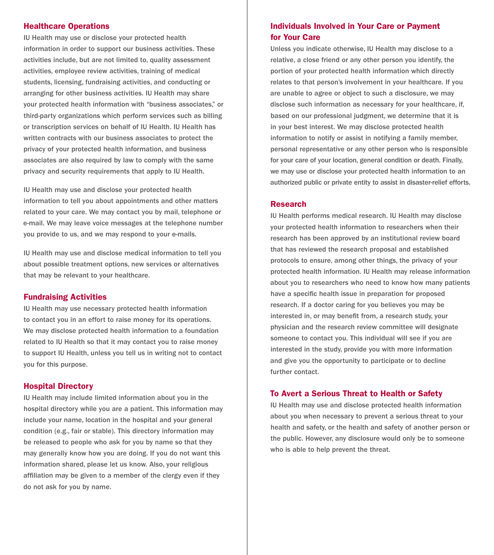#### Healthcare Operations

IU Health may use or disclose your protected health information in order to support our business activities. These activities include, but are not limited to, quality assessment activities, employee review activities, training of medical students, licensing, fundraising activities, and conducting or arranging for other business activities. IU Health may share your protected health information with "business associates," or third-party organizations which perform services such as billing or transcription services on behalf of IU Health. IU Health has written contracts with our business associates to protect the privacy of your protected health information, and business associates are also required by law to comply with the same privacy and security requirements that apply to IU Health.

IU Health may use and disclose your protected health information to tell you about appointments and other matters related to your care. We may contact you by mail, telephone or e-mail. We may leave voice messages at the telephone number you provide to us, and we may respond to your e-mails.

IU Health may use and disclose medical information to tell you about possible treatment options, new services or alternatives that may be relevant to your healthcare.

#### Fundraising Activities

IU Health may use necessary protected health information to contact you in an effort to raise money for its operations. We may disclose protected health information to a foundation related to IU Health so that it may contact you to raise money to support IU Health, unless you tell us in writing not to contact you for this purpose.

## Hospital Directory

IU Health may include limited information about you in the hospital directory while you are a patient. This information may include your name, location in the hospital and your general condition (e.g., fair or stable). This directory information may be released to people who ask for you by name so that they may generally know how you are doing. If you do not want this information shared, please let us know. Also, your religious affiliation may be given to a member of the clergy even if they do not ask for you by name.

# Individuals Involved in Your Care or Payment for Your Care

Unless you indicate otherwise, IU Health may disclose to a relative, a close friend or any other person you identify, the portion of your protected health information which directly relates to that person's involvement in your healthcare. If you are unable to agree or object to such a disclosure, we may disclose such information as necessary for your healthcare, if, based on our professional judgment, we determine that it is in your best interest. We may disclose protected health information to notify or assist in notifying a family member, personal representative or any other person who is responsible for your care of your location, general condition or death. Finally, we may use or disclose your protected health information to an authorized public or private entity to assist in disaster-relief efforts.

#### Research

IU Health performs medical research. IU Health may disclose your protected health information to researchers when their research has been approved by an institutional review board that has reviewed the research proposal and established protocols to ensure, among other things, the privacy of your protected health information. IU Health may release information about you to researchers who need to know how many patients have a specific health issue in preparation for proposed research. If a doctor caring for you believes you may be interested in, or may benefit from, a research study, your physician and the research review committee will designate someone to contact you. This individual will see if you are interested in the study, provide you with more information and give you the opportunity to participate or to decline further contact.

# To Avert a Serious Threat to Health or Safety

IU Health may use and disclose protected health information about you when necessary to prevent a serious threat to your health and safety, or the health and safety of another person or the public. However, any disclosure would only be to someone who is able to help prevent the threat.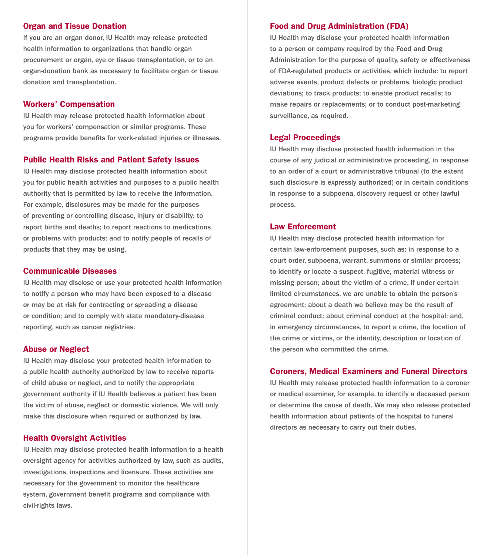## Organ and Tissue Donation

If you are an organ donor, IU Health may release protected health information to organizations that handle organ procurement or organ, eye or tissue transplantation, or to an organ-donation bank as necessary to facilitate organ or tissue donation and transplantation.

## Workers' Compensation

IU Health may release protected health information about you for workers' compensation or similar programs. These programs provide benefits for work-related injuries or illnesses.

#### Public Health Risks and Patient Safety Issues

IU Health may disclose protected health information about you for public health activities and purposes to a public health authority that is permitted by law to receive the information. For example, disclosures may be made for the purposes of preventing or controlling disease, injury or disability; to report births and deaths; to report reactions to medications or problems with products; and to notify people of recalls of products that they may be using.

#### Communicable Diseases

IU Health may disclose or use your protected health information to notify a person who may have been exposed to a disease or may be at risk for contracting or spreading a disease or condition; and to comply with state mandatory-disease reporting, such as cancer registries.

#### Abuse or Neglect

IU Health may disclose your protected health information to a public health authority authorized by law to receive reports of child abuse or neglect, and to notify the appropriate government authority if IU Health believes a patient has been the victim of abuse, neglect or domestic violence. We will only make this disclosure when required or authorized by law.

## Health Oversight Activities

IU Health may disclose protected health information to a health oversight agency for activities authorized by law, such as audits, investigations, inspections and licensure. These activities are necessary for the government to monitor the healthcare system, government benefit programs and compliance with civil-rights laws.

#### Food and Drug Administration (FDA)

IU Health may disclose your protected health information to a person or company required by the Food and Drug Administration for the purpose of quality, safety or effectiveness of FDA-regulated products or activities, which include: to report adverse events, product defects or problems, biologic product deviations; to track products; to enable product recalls; to make repairs or replacements; or to conduct post-marketing surveillance, as required.

# Legal Proceedings

IU Health may disclose protected health information in the course of any judicial or administrative proceeding, in response to an order of a court or administrative tribunal (to the extent such disclosure is expressly authorized) or in certain conditions in response to a subpoena, discovery request or other lawful process.

## Law Enforcement

IU Health may disclose protected health information for certain law-enforcement purposes, such as: in response to a court order, subpoena, warrant, summons or similar process; to identify or locate a suspect, fugitive, material witness or missing person; about the victim of a crime, if under certain limited circumstances, we are unable to obtain the person's agreement; about a death we believe may be the result of criminal conduct; about criminal conduct at the hospital; and, in emergency circumstances, to report a crime, the location of the crime or victims, or the identity, description or location of the person who committed the crime.

#### Coroners, Medical Examiners and Funeral Directors

IU Health may release protected health information to a coroner or medical examiner, for example, to identify a deceased person or determine the cause of death. We may also release protected health information about patients of the hospital to funeral directors as necessary to carry out their duties.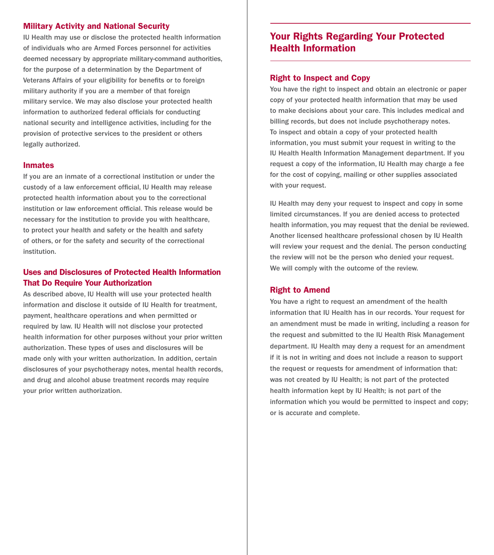# Military Activity and National Security

IU Health may use or disclose the protected health information of individuals who are Armed Forces personnel for activities deemed necessary by appropriate military-command authorities, for the purpose of a determination by the Department of Veterans Affairs of your eligibility for benefits or to foreign military authority if you are a member of that foreign military service. We may also disclose your protected health information to authorized federal officials for conducting national security and intelligence activities, including for the provision of protective services to the president or others legally authorized.

#### Inmates

If you are an inmate of a correctional institution or under the custody of a law enforcement official, IU Health may release protected health information about you to the correctional institution or law enforcement official. This release would be necessary for the institution to provide you with healthcare, to protect your health and safety or the health and safety of others, or for the safety and security of the correctional institution.

# Uses and Disclosures of Protected Health Information That Do Require Your Authorization

As described above, IU Health will use your protected health information and disclose it outside of IU Health for treatment, payment, healthcare operations and when permitted or required by law. IU Health will not disclose your protected health information for other purposes without your prior written authorization. These types of uses and disclosures will be made only with your written authorization. In addition, certain disclosures of your psychotherapy notes, mental health records, and drug and alcohol abuse treatment records may require your prior written authorization.

# Your Rights Regarding Your Protected Health Information

#### Right to Inspect and Copy

You have the right to inspect and obtain an electronic or paper copy of your protected health information that may be used to make decisions about your care. This includes medical and billing records, but does not include psychotherapy notes. To inspect and obtain a copy of your protected health information, you must submit your request in writing to the IU Health Health Information Management department. If you request a copy of the information, IU Health may charge a fee for the cost of copying, mailing or other supplies associated with your request.

IU Health may deny your request to inspect and copy in some limited circumstances. If you are denied access to protected health information, you may request that the denial be reviewed. Another licensed healthcare professional chosen by IU Health will review your request and the denial. The person conducting the review will not be the person who denied your request. We will comply with the outcome of the review.

#### Right to Amend

You have a right to request an amendment of the health information that IU Health has in our records. Your request for an amendment must be made in writing, including a reason for the request and submitted to the IU Health Risk Management department. IU Health may deny a request for an amendment if it is not in writing and does not include a reason to support the request or requests for amendment of information that: was not created by IU Health; is not part of the protected health information kept by IU Health; is not part of the information which you would be permitted to inspect and copy; or is accurate and complete.